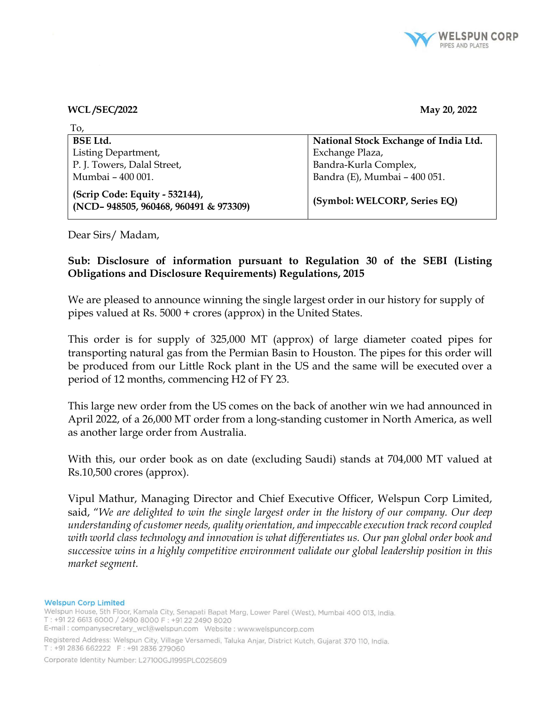

## WCL /SEC/2022 May 20, 2022

| To,                                                                     |                                       |
|-------------------------------------------------------------------------|---------------------------------------|
| <b>BSE Ltd.</b>                                                         | National Stock Exchange of India Ltd. |
| Listing Department,                                                     | Exchange Plaza,                       |
| P. J. Towers, Dalal Street,                                             | Bandra-Kurla Complex,                 |
| Mumbai - 400 001.                                                       | Bandra (E), Mumbai - 400 051.         |
| (Scrip Code: Equity - 532144),<br>(NCD-948505, 960468, 960491 & 973309) | (Symbol: WELCORP, Series EQ)          |

Dear Sirs/ Madam,

## Sub: Disclosure of information pursuant to Regulation 30 of the SEBI (Listing Obligations and Disclosure Requirements) Regulations, 2015

We are pleased to announce winning the single largest order in our history for supply of pipes valued at Rs. 5000 + crores (approx) in the United States.

This order is for supply of 325,000 MT (approx) of large diameter coated pipes for transporting natural gas from the Permian Basin to Houston. The pipes for this order will be produced from our Little Rock plant in the US and the same will be executed over a period of 12 months, commencing H2 of FY 23.

This large new order from the US comes on the back of another win we had announced in April 2022, of a 26,000 MT order from a long-standing customer in North America, as well as another large order from Australia.

With this, our order book as on date (excluding Saudi) stands at 704,000 MT valued at Rs.10,500 crores (approx).

Vipul Mathur, Managing Director and Chief Executive Officer, Welspun Corp Limited, said, "We are delighted to win the single largest order in the history of our company. Our deep understanding of customer needs, quality orientation, and impeccable execution track record coupled with world class technology and innovation is what differentiates us. Our pan global order book and successive wins in a highly competitive environment validate our global leadership position in this market segment.

## **Welspun Corp Limited**

Welspun House, 5th Floor, Kamala City, Senapati Bapat Marg, Lower Parel (West), Mumbai 400 013, India. T: +91 22 6613 6000 / 2490 8000 F: +91 22 2490 8020

Registered Address: Welspun City, Village Versamedi, Taluka Anjar, District Kutch, Gujarat 370 110, India. T: +91 2836 662222 F: +91 2836 279060

Corporate Identity Number: L27100GJ1995PLC025609